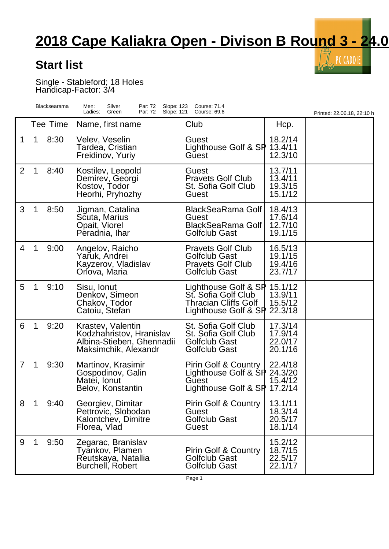## **2018 Cape Kaliakra Open - Divison B Round 3 - 24.06.2018**

 $\bar{\vec{l}}$  PC CADDIE

 $\mathcal{L}(\mathcal{Y})$  $\lbrack 0 \rbrack$ 

## **Start list**

Single - Stableford; 18 Holes Handicap-Factor: 3/4

|                |   | Blacksearama | Silver<br>Slope: 123<br>Men:<br>Par: 72<br>Ladies:<br>Green<br>Par: 72<br>Slope: 121               | <b>Course: 71.4</b><br>Course: 69.6                                                                        |                                          | Printed: 22.06.18, 22:10 h |
|----------------|---|--------------|----------------------------------------------------------------------------------------------------|------------------------------------------------------------------------------------------------------------|------------------------------------------|----------------------------|
|                |   | Tee Time     | Name, first name                                                                                   | Club                                                                                                       | Hcp.                                     |                            |
| 1              | 1 | 8:30         | Velev, Veselin<br>Tardea, Cristian<br>Freidinov, Yuriy                                             | Guest<br>Lighthouse Golf & SP 13.4/11<br>Guest                                                             | 18.2/14<br>12.3/10                       |                            |
| $\overline{2}$ | 1 | 8:40         | Kostilev, Leopold<br>Demirev, Georgi<br>Kostov, Todor<br>Heorhi, Pryhozhy                          | Guest<br><b>Pravets Golf Club</b><br>St. Sofia Golf Club<br>Guest                                          | 13.7/11<br>13.4/11<br>19.3/15<br>15.1/12 |                            |
| 3              |   | 8:50         | Jigman, Catalina<br>Scuta, Marius<br>Opait, Viorel<br>Peradnia, Ihar                               | <b>BlackSeaRama Golf</b><br>Guest<br><b>BlackSeaRama Golf</b><br><b>Golfclub Gast</b>                      | 18.4/13<br>17.6/14<br>12.7/10<br>19.1/15 |                            |
| 4              |   | 9:00         | Angelov, Raicho<br>Yaruk, Andrei<br>Kayzerov, Vladislav<br>Orlova, Maria                           | <b>Pravets Golf Club</b><br><b>Golfclub Gast</b><br><b>Pravets Golf Club</b><br><b>Golfclub Gast</b>       | 16.5/13<br>19.1/15<br>19.4/16<br>23.7/17 |                            |
| 5              | 1 | 9:10         | Sisu, Ionut<br>Denkov, Simeon<br>Chakov, Todor<br>Catoiu, Stefan                                   | Lighthouse Golf & SP 15.1/12<br>St. Sofia Golf Club<br><b>Thracian Cliffs Golf</b><br>Lighthouse Golf & SP | 13.9/11<br>15.5/12<br>22.3/18            |                            |
| 6              |   | 9:20         | Krastev, Valentin<br>Kodzhahristov, Hranislav<br>Albina-Stieben, Ghennadii<br>Maksimchik, Alexandr | St. Sofia Golf Club<br>St. Sofia Golf Club<br>Golfclub Gast<br><b>Golfclub Gast</b>                        | 17.3/14<br>17.9/14<br>22.0/17<br>20.1/16 |                            |
| $\overline{7}$ |   | 9:30         | Martinov, Krasimir<br>Gospodinov, Galin<br>Matei, Ionut<br>Belov, Konstantin                       | Pirin Golf & Country<br>Lighthouse Golf & SP 24.3/20<br>Guest<br>Lighthouse Golf & SP                      | 22.4/18<br>15.4/12<br>17.2/14            |                            |
| 8              | 1 | 9:40         | Georgiev, Dimitar<br>Pettrovic, Slobodan<br>Kalontchev, Dimitre<br>Florea, Vlad                    | Pirin Golf & Country<br>Guest<br><b>Golfclub Gast</b><br>Guest                                             | 13.1/11<br>18.3/14<br>20.5/17<br>18.1/14 |                            |
| 9              | 1 | 9:50         | Zegarac, Branislav<br>Tyankov, Plamen<br>Reutskaya, Natallia<br>Burchell, Robert                   | <b>Pirin Golf &amp; Country</b><br><b>Golfclub Gast</b><br><b>Golfclub Gast</b>                            | 15.2/12<br>18.7/15<br>22.5/17<br>22.1/17 |                            |